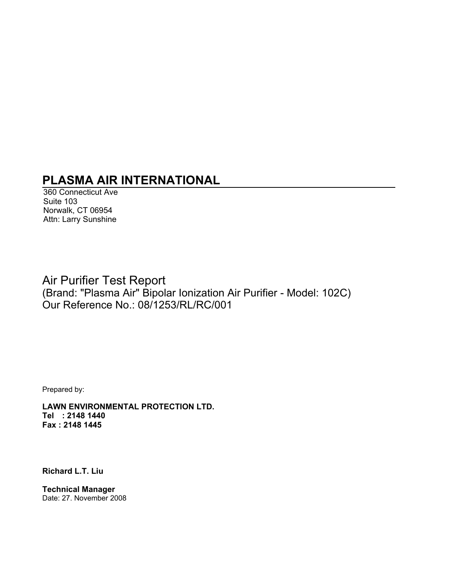# **PLASMA AIR INTERNATIONAL**

360 Connecticut Ave Suite 103 Norwalk, CT 06954 Attn: Larry Sunshine

## Air Purifier Test Report (Brand: "Plasma Air" Bipolar Ionization Air Purifier - Model: 102C) Our Reference No.: 08/1253/RL/RC/001

Prepared by:

**LAWN ENVIRONMENTAL PROTECTION LTD. Tel : 2148 1440 Fax : 2148 1445** 

**Richard L.T. Liu** 

**Technical Manager**  Date: 27. November 2008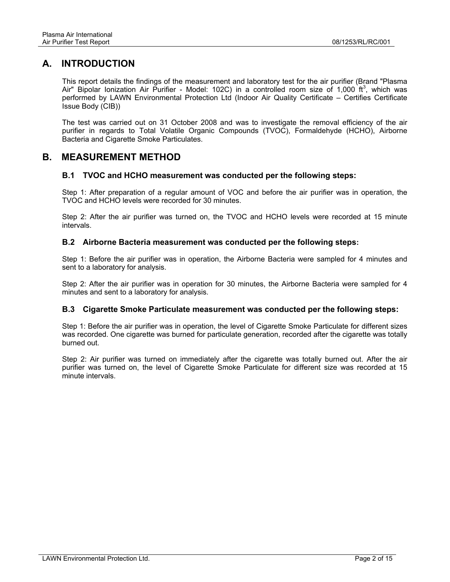### **A. INTRODUCTION**

This report details the findings of the measurement and laboratory test for the air purifier (Brand "Plasma Air" Bipolar Ionization Air Purifier - Model: 102C) in a controlled room size of 1,000  $ft^3$ , which was performed by LAWN Environmental Protection Ltd (Indoor Air Quality Certificate – Certifies Certificate Issue Body (CIB))

The test was carried out on 31 October 2008 and was to investigate the removal efficiency of the air purifier in regards to Total Volatile Organic Compounds (TVOC), Formaldehyde (HCHO), Airborne Bacteria and Cigarette Smoke Particulates.

### **B. MEASUREMENT METHOD**

### **B.1 TVOC and HCHO measurement was conducted per the following steps:**

Step 1: After preparation of a regular amount of VOC and before the air purifier was in operation, the TVOC and HCHO levels were recorded for 30 minutes.

Step 2: After the air purifier was turned on, the TVOC and HCHO levels were recorded at 15 minute intervals.

#### **B.2 Airborne Bacteria measurement was conducted per the following steps:**

Step 1: Before the air purifier was in operation, the Airborne Bacteria were sampled for 4 minutes and sent to a laboratory for analysis.

Step 2: After the air purifier was in operation for 30 minutes, the Airborne Bacteria were sampled for 4 minutes and sent to a laboratory for analysis.

#### **B.3 Cigarette Smoke Particulate measurement was conducted per the following steps:**

Step 1: Before the air purifier was in operation, the level of Cigarette Smoke Particulate for different sizes was recorded. One cigarette was burned for particulate generation, recorded after the cigarette was totally burned out.

Step 2: Air purifier was turned on immediately after the cigarette was totally burned out. After the air purifier was turned on, the level of Cigarette Smoke Particulate for different size was recorded at 15 minute intervals.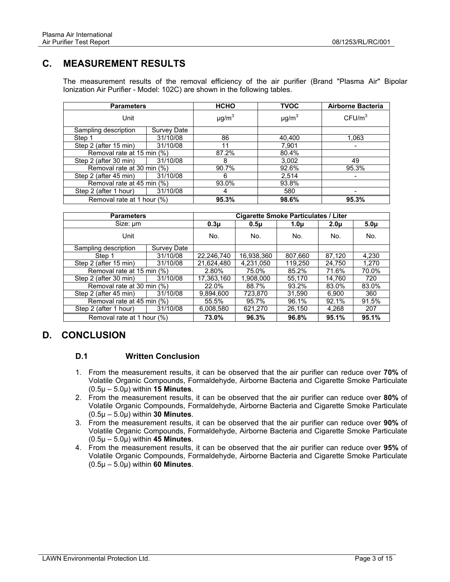### **C. MEASUREMENT RESULTS**

The measurement results of the removal efficiency of the air purifier (Brand "Plasma Air" Bipolar Ionization Air Purifier - Model: 102C) are shown in the following tables.

| <b>Parameters</b>          |             | <b>HCHO</b>            | <b>TVOC</b>            | <b>Airborne Bacteria</b> |
|----------------------------|-------------|------------------------|------------------------|--------------------------|
| Unit                       |             | $\mu$ g/m <sup>3</sup> | $\mu$ g/m <sup>3</sup> | CFU/m <sup>3</sup>       |
| Sampling description       | Survey Date |                        |                        |                          |
| Step 1                     | 31/10/08    | 86                     | 40,400                 | 1,063                    |
| Step 2 (after 15 min)      | 31/10/08    | 11                     | 7,901                  | -                        |
| Removal rate at 15 min (%) |             | 87.2%                  | 80.4%                  |                          |
| Step 2 (after 30 min)      | 31/10/08    | 8                      | 3,002                  | 49                       |
| Removal rate at 30 min (%) |             | 90.7%                  | 92.6%                  | 95.3%                    |
| Step 2 (after 45 min)      | 31/10/08    | 6                      | 2,514                  |                          |
| Removal rate at 45 min (%) |             | 93.0%                  | 93.8%                  |                          |
| Step 2 (after 1 hour)      | 31/10/08    |                        | 580                    |                          |
| Removal rate at 1 hour (%) |             | 95.3%                  | 98.6%                  | 95.3%                    |

| <b>Parameters</b>          |             |                  | <b>Cigarette Smoke Particulates / Liter</b> |                  |                  |                  |
|----------------------------|-------------|------------------|---------------------------------------------|------------------|------------------|------------------|
| Size: um                   |             | 0.3 <sub>µ</sub> | 0.5 <sub>µ</sub>                            | 1.0 <sub>µ</sub> | 2.0 <sub>u</sub> | 5.0 <sub>µ</sub> |
| Unit                       |             | No.              | No.                                         | No.              | No.              | No.              |
| Sampling description       | Survey Date |                  |                                             |                  |                  |                  |
| Step 1                     | 31/10/08    | 22.246.740       | 16,938,360                                  | 807,660          | 87,120           | 4.230            |
| Step 2 (after 15 min)      | 31/10/08    | 21.624.480       | 4,231,050                                   | 119,250          | 24,750           | 1.270            |
| Removal rate at 15 min (%) |             | 2.80%            | 75.0%                                       | 85.2%            | 71.6%            | 70.0%            |
| Step 2 (after 30 min)      | 31/10/08    | 17.363.160       | 1.908.000                                   | 55.170           | 14.760           | 720              |
| Removal rate at 30 min (%) |             | 22.0%            | 88.7%                                       | 93.2%            | 83.0%            | 83.0%            |
| Step 2 (after 45 min)      | 31/10/08    | 9.894.600        | 723.870                                     | 31.590           | 6.900            | 360              |
| Removal rate at 45 min (%) |             | 55.5%            | 95.7%                                       | 96.1%            | 92.1%            | 91.5%            |
| Step 2 (after 1 hour)      | 31/10/08    | 6.008.580        | 621.270                                     | 26.150           | 4.268            | 207              |
| Removal rate at 1 hour (%) |             | 73.0%            | 96.3%                                       | 96.8%            | 95.1%            | 95.1%            |

### **D. CONCLUSION**

### **D.1 Written Conclusion**

- 1. From the measurement results, it can be observed that the air purifier can reduce over **70%** of Volatile Organic Compounds, Formaldehyde, Airborne Bacteria and Cigarette Smoke Particulate (0.5μ – 5.0μ) within **15 Minutes**.
- 2. From the measurement results, it can be observed that the air purifier can reduce over **80%** of Volatile Organic Compounds, Formaldehyde, Airborne Bacteria and Cigarette Smoke Particulate (0.5μ – 5.0μ) within **30 Minutes**.
- 3. From the measurement results, it can be observed that the air purifier can reduce over **90%** of Volatile Organic Compounds, Formaldehyde, Airborne Bacteria and Cigarette Smoke Particulate (0.5μ – 5.0μ) within **45 Minutes**.
- 4. From the measurement results, it can be observed that the air purifier can reduce over **95%** of Volatile Organic Compounds, Formaldehyde, Airborne Bacteria and Cigarette Smoke Particulate (0.5μ – 5.0μ) within **60 Minutes**.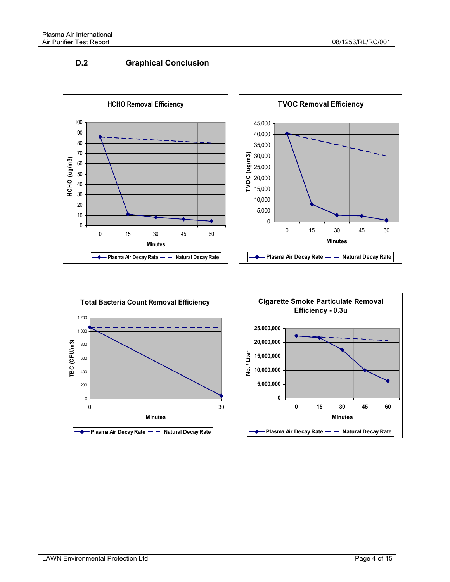### **D.2 Graphical Conclusion**







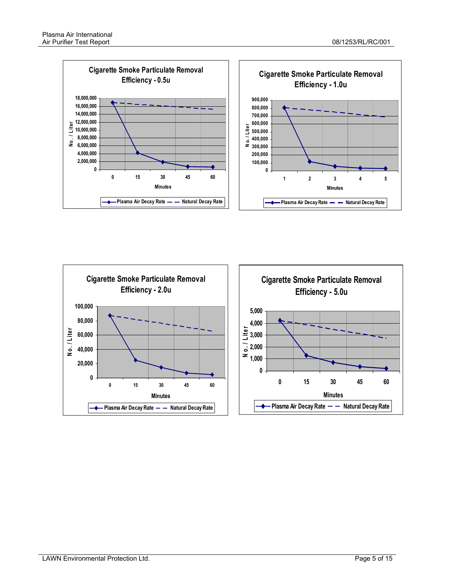

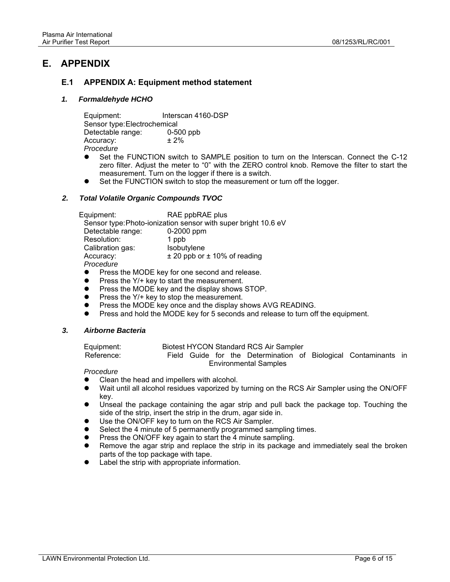### **E. APPENDIX**

### **E.1 APPENDIX A: Equipment method statement**

#### *1. Formaldehyde HCHO*

Equipment: Interscan 4160-DSP Sensor type: Electrochemical Detectable range: 0-500 ppb  $Accuracy: \pm 2\%$ *Procedure* 

- Set the FUNCTION switch to SAMPLE position to turn on the Interscan. Connect the C-12 zero filter. Adjust the meter to "0" with the ZERO control knob. Remove the filter to start the measurement. Turn on the logger if there is a switch.
- Set the FUNCTION switch to stop the measurement or turn off the logger.

#### *2. Total Volatile Organic Compounds TVOC*

Equipment: RAE ppbRAE plus Sensor type: Photo-ionization sensor with super bright 10.6 eV Detectable range: 0-2000 ppm Resolution: 1 ppb Calibration gas: Isobutylene Accuracy:  $\pm 20$  ppb or  $\pm 10\%$  of reading *Procedure* 

- Press the MODE key for one second and release.
- $\bullet$  Press the Y/+ key to start the measurement.
- Press the MODE key and the display shows STOP.
- Press the Y/+ key to stop the measurement.
- Press the MODE key once and the display shows AVG READING.
- Press and hold the MODE key for 5 seconds and release to turn off the equipment.

#### *3. Airborne Bacteria*

| Equipment: |  |  | Biotest HYCON Standard RCS Air Sampler |  |                                                                 |  |
|------------|--|--|----------------------------------------|--|-----------------------------------------------------------------|--|
| Reference: |  |  |                                        |  | Field Guide for the Determination of Biological Contaminants in |  |
|            |  |  | <b>Environmental Samples</b>           |  |                                                                 |  |

*Procedure* 

- Clean the head and impellers with alcohol.
- Wait until all alcohol residues vaporized by turning on the RCS Air Sampler using the ON/OFF key.
- Unseal the package containing the agar strip and pull back the package top. Touching the side of the strip, insert the strip in the drum, agar side in.
- Use the ON/OFF key to turn on the RCS Air Sampler.
- Select the 4 minute of 5 permanently programmed sampling times.
- Press the ON/OFF key again to start the 4 minute sampling.
- Remove the agar strip and replace the strip in its package and immediately seal the broken parts of the top package with tape.
- Label the strip with appropriate information.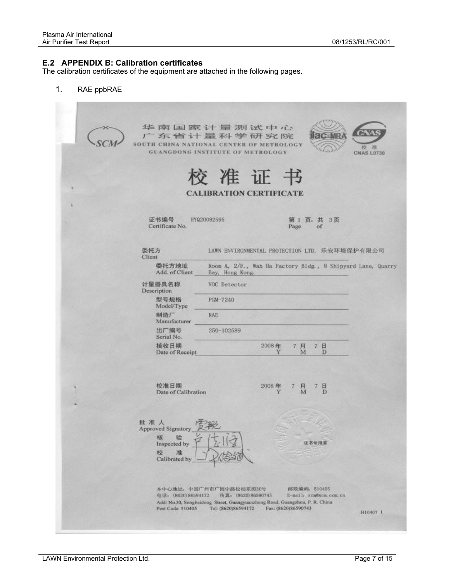### **E.2 APPENDIX B: Calibration certificates**

The calibration certificates of the equipment are attached in the following pages.

1. RAE ppbRAE

华南国家计量测试中心 广东省计量科学研究院  $-MR$ SCM. SOUTH CHINA NATIONAL CENTER OF METROLOGY **GUANGDONG INSTITUTE OF METROLOGY CNAS L0730** 这准 证 书 **CALIBRATION CERTIFICATE** 证书编号 HYQ20082595 第1页,共 3页 Certificate No. Page of 委托方 LAWN ENVIRONMENTAL PROTECTION LTD. 乐安环境保护有限公司 Client 委托方地址 Room A, 2/F., Wah Ha Factory Bldg., 8 Shipyard Lane, Quarry Add. of Client Bay, Hong Kong. 计量器具名称 VOC Detector Description 型号规格 PGM-7240 Model/Type 制造厂 **RAE** Manufacturer 出厂编号 250-102589 Serial No. 接收日期 2008年 7 月 7日 Date of Receipt M Đ 校准日期 2008年 7 月 7 日 Date of Calibration Đ 批准人 Approved Signatory 核 验 证书专用意 Inspected by 准 校 Calibrated by 本中心地址: 中国广州市广阔中路松柏东街30号 邮政编码: 510405 电话: (8620)86594172 传真: (8620)86590743 E-mail: scmWscm.com.cn Add: No.30, Songbaidong Street, Guangyuanzhong Road, Guangzhou, P. R. China Post Code: 510405 Tel: (8620)86594172 Fax: (8620)86590743 H10407 1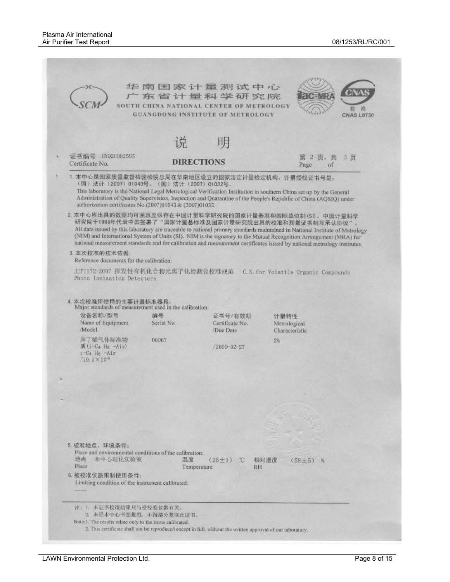|                                                                                                                                                            |                                                  | 华南国家计量测试中心<br>东省计量科学研究院<br>SOUTH CHINA NATIONAL CENTER OF METROLOGY<br><b>GUANGDONG INSTITUTE OF METROLOGY</b> | distrib.<br><b>CNAS L0730</b>                                                                                                                                                                                                                                                                                                                                                                                                                                                                |
|------------------------------------------------------------------------------------------------------------------------------------------------------------|--------------------------------------------------|----------------------------------------------------------------------------------------------------------------|----------------------------------------------------------------------------------------------------------------------------------------------------------------------------------------------------------------------------------------------------------------------------------------------------------------------------------------------------------------------------------------------------------------------------------------------------------------------------------------------|
|                                                                                                                                                            |                                                  | 明                                                                                                              |                                                                                                                                                                                                                                                                                                                                                                                                                                                                                              |
| 证书编号<br>HYQ20082595<br>Certificate No.                                                                                                                     | <b>DIRECTIONS</b>                                |                                                                                                                | -2<br>$3 - 11$<br>页.<br>薬<br>Page<br>оf                                                                                                                                                                                                                                                                                                                                                                                                                                                      |
| 1. 本中心是国家质量监督检验检疫总局在华南地区设立的国家法定计量检定机构, 计量授权证书号是:<br>(国) 法计 (2007) 01043号、(国) 法计 (2007) 01032号,<br>authorization certificates No.(2007)01043 & (2007)01032. |                                                  |                                                                                                                | This laboratory is the National Legal Metrological Verification Institution in southern China set up by the General<br>Administration of Quality Supervision, Inspection and Quarantine of the People's Republic of China (AQSIQ) under                                                                                                                                                                                                                                                      |
|                                                                                                                                                            |                                                  |                                                                                                                | 2. 本中心所出具的数据均可溯源至保存在中国计量科学研究院的国家计量基准和国际单位制(30。中国计量科学<br>研究院于1999年代表中国签署了"国家计量基标准及国家计量研究院出具的校准和测量证书相互承认协议"。<br>All data issued by this laboratory are traceable to national primary standards maintained in National Institute of Metrology<br>(NIM) and International System of Units (SI). NIM is the signatory to the Mutual Recognition Arrangement (MRA) for<br>national measurement standards and for calibration and measurement certificates issued by national metrology institutes. |
| 3. 本次校准的技术依据:<br>Reference documents for the calibration:                                                                                                  |                                                  |                                                                                                                |                                                                                                                                                                                                                                                                                                                                                                                                                                                                                              |
| Photo lonization Detectors                                                                                                                                 |                                                  |                                                                                                                | J_F1172-2007 挥发性有机化合物光离子化检测仪校准规范 C.S.for Volatile Crganic Compounds                                                                                                                                                                                                                                                                                                                                                                                                                          |
| 4. 本次校准所使用的主要计量标准器具:<br>Major standards of measurement used in the calibration:<br>设备名称/型号<br>Name of Equipment<br>/Model<br>异丁烯气体标准物                      | 编号<br>Serial No.<br>00067                        | 证书号/有效期<br>Certificate No.<br>Due Date                                                                         | 计量特性<br>Metrological<br>Characteristic<br>28                                                                                                                                                                                                                                                                                                                                                                                                                                                 |
| 质(i-C4 Hg -Air)<br>i-C4 He -Air<br>$/10.1 \times 10^{-6}$                                                                                                  |                                                  | /2009-02-27                                                                                                    |                                                                                                                                                                                                                                                                                                                                                                                                                                                                                              |
|                                                                                                                                                            |                                                  |                                                                                                                |                                                                                                                                                                                                                                                                                                                                                                                                                                                                                              |
|                                                                                                                                                            |                                                  |                                                                                                                |                                                                                                                                                                                                                                                                                                                                                                                                                                                                                              |
|                                                                                                                                                            |                                                  |                                                                                                                |                                                                                                                                                                                                                                                                                                                                                                                                                                                                                              |
|                                                                                                                                                            |                                                  |                                                                                                                |                                                                                                                                                                                                                                                                                                                                                                                                                                                                                              |
| 5. 校准地点、环境条件:<br>Place and environmental conditions of the calibration:<br>地点<br>本中心理化实验室<br>Place<br>6. 被校准仪器限制使用条件:                                      | 温度<br>Temperature                                | $(26\pm1)$ C<br>RH                                                                                             | 相对湿度<br>$(58 \pm 5)$<br>隔                                                                                                                                                                                                                                                                                                                                                                                                                                                                    |
|                                                                                                                                                            | Limiting condition of the instrument calibrated: |                                                                                                                |                                                                                                                                                                                                                                                                                                                                                                                                                                                                                              |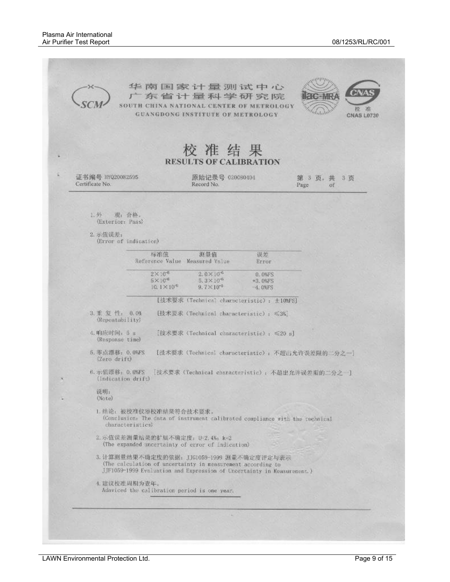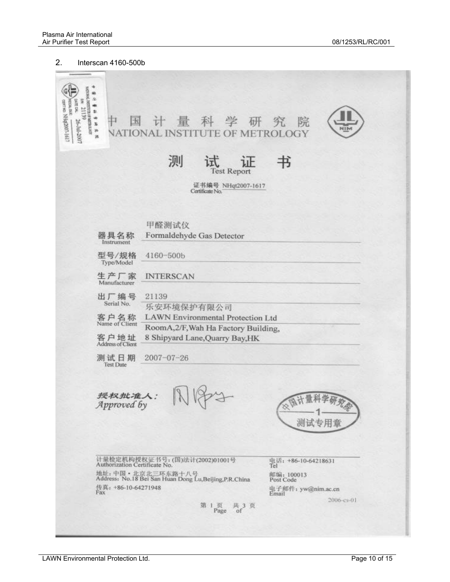#### 2. Interscan 4160-500b

传  $\begin{tabular}{|c|c|c|} \hline & set & $26-30-2007$ \\ & There are $8$ & $8-30-2007$ \\ & generate $8$ & $8$-500-5617$ \\ \hline \end{tabular}$ 科学 研究 中 国 量 院 计 нīь **NATIONAL INSTITUTE OF METROLOGY** 测 书 ìF 试 Test Report 证书编号 NHgt2007-1617 Certificate No. 甲醛测试仪 器具名称 Formaldehyde Gas Detector Instrument 型号/规格 4160-500b Type/Model 生产厂家 **INTERSCAN** Manufacturer 出厂编号 21139 Serial No. 乐安环境保护有限公司 客户名称<br>Name of Client **LAWN** Environmental Protection Ltd RoomA,2/F, Wah Ha Factory Building, 客户地址 8 Shipyard Lane, Quarry Bay, HK  $2007 - 07 - 26$ 测试日期 **Test Date** 授权批准人:<br>Approved by 测试专用意 计量检定机构授权证书号: (国)法计(2002)01001号<br>Authorization Certificate No. 电话: +86-10-64218631<br>Tel 地址: 中国·北京北三环东路十八号<br>Address: No.18 Bei San Huan Dong Lu,Beijing,P.R.China 邮编: 100013<br>Post Code Post Code<br>电子邮件: yw@nim.ac.cn<br>Email 传真: +86-10-64271948<br>Fax 2006-cs-01 第1页 共3页<br>Page of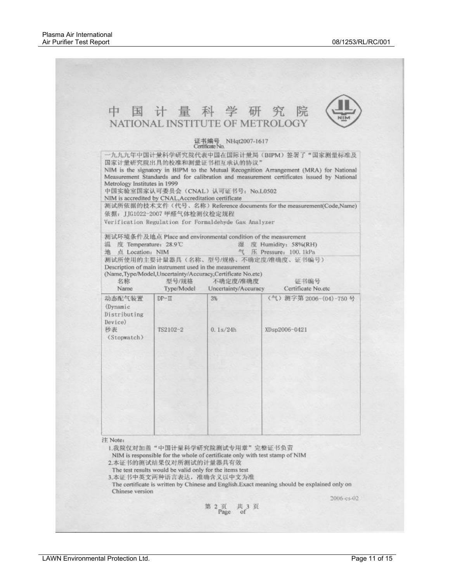|                                                                    |                                                                                      |                                                                                                                                                            | 中国计量科学研究院<br>N⊪M<br>NATIONAL INSTITUTE OF METROLOGY                                                                                                                                                                                                                                                     |
|--------------------------------------------------------------------|--------------------------------------------------------------------------------------|------------------------------------------------------------------------------------------------------------------------------------------------------------|---------------------------------------------------------------------------------------------------------------------------------------------------------------------------------------------------------------------------------------------------------------------------------------------------------|
|                                                                    |                                                                                      | 证书编号 NHqt2007-1617<br>Certificate No.                                                                                                                      |                                                                                                                                                                                                                                                                                                         |
| Metrology Institutes in 1999                                       | NIM is accredited by CNAL, Accreditation certificate<br>依据: JJG1022-2007 甲醛气体检测仪检定规程 | 国家计量研究院出具的校准和测量证书相互承认的协议"<br>中国实验室国家认可委员会(CNAL)认可证书号: No.L0502                                                                                             | 一九九九年中国计量科学研究院代表中国在国际计量局(BIPM)签署了"国家测量标准及<br>NIM is the signatory in BIPM to the Mutual Recognition Arrangement (MRA) for National<br>Measurement Standards and for calibration and measurement certificates issued by National<br>测试所依据的技术文件(代号、名称) Reference documents for the measurement(Code,Name) |
|                                                                    |                                                                                      | Verification Regulation for Formaldehyde Gas Analyzer                                                                                                      |                                                                                                                                                                                                                                                                                                         |
| 温度 Temperature: 28.9℃<br>地 点 Location: NIM<br>名称<br>Name           | 型号/規格<br>Type/Model                                                                  | Description of main instrument used in the measurement<br>(Name, Type/Model, Uncertainty/Accuracy, Certificate No.etc)<br>不确定度/准确度<br>Uncertainty/Accuracy | 测试环境条件及地点 Place and environmental condition of the measurement<br>湿 度 Humidity: 58%(RH)<br>气 压 Pressure: 100. 1kPa<br>测试所使用的主要计量器具(名称、型号/规格、不确定度/准确度、证书编号)<br>证书编号<br>Certificate No.etc                                                                                                                |
| 动态配气装置<br>(Dynamic<br>Distributing<br>Device)<br>秒表<br>(Stopwatch) | $DP-TI$<br>TS2102-2                                                                  | 3%<br>0.1s/24h                                                                                                                                             | (气) 测字第 2006-(04)-750号<br>XDsp2006-0421                                                                                                                                                                                                                                                                 |
| 注 Note:                                                            | 2.本证书的测试结果仅对所测试的计量器具有效                                                               | 1.我院仅对加盖"中国计量科学研究院测试专用章"完整证书负责<br>The test results would be valid only for the items test                                                                  | NIM is responsible for the whole of certificate only with test stamp of NIM                                                                                                                                                                                                                             |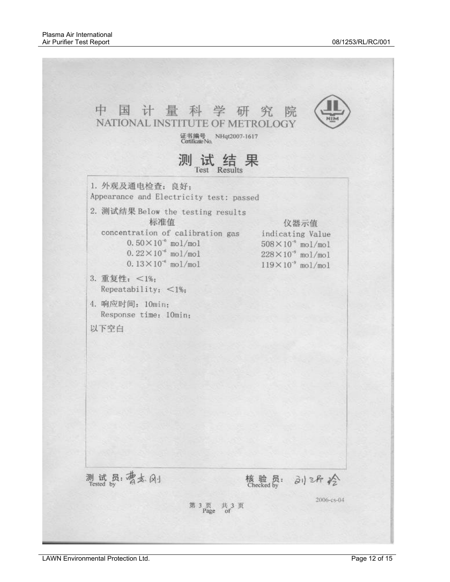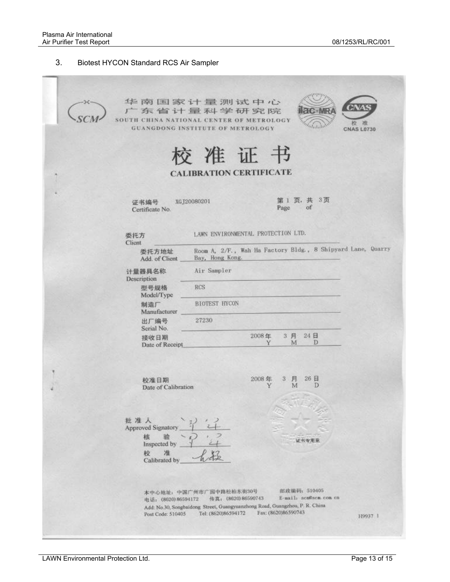#### 3. Biotest HYCON Standard RCS Air Sampler

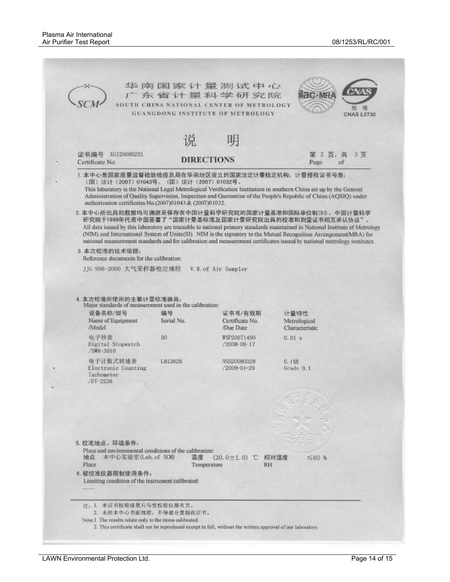|                                                                                                                                                             |                  | 广东省计量科学研究院<br>SOUTH CHINA NATIONAL CENTER OF METROLOGY<br><b>GUANGDONG INSTITUTE OF METROLOGY</b> | <b>ac-MRA</b><br>Walsil<br><b>CNAS L0730</b>                                                                                                                                                                                                                                                                                                                                                                                                                                               |
|-------------------------------------------------------------------------------------------------------------------------------------------------------------|------------------|---------------------------------------------------------------------------------------------------|--------------------------------------------------------------------------------------------------------------------------------------------------------------------------------------------------------------------------------------------------------------------------------------------------------------------------------------------------------------------------------------------------------------------------------------------------------------------------------------------|
|                                                                                                                                                             | 说                | 明                                                                                                 |                                                                                                                                                                                                                                                                                                                                                                                                                                                                                            |
| 证书编号 XGJ20080201<br>Certificate No.                                                                                                                         |                  | <b>DIRECTIONS</b>                                                                                 | 页,共 3页<br>第 2<br>of<br>Page                                                                                                                                                                                                                                                                                                                                                                                                                                                                |
| 1. 本中心是国家质量监督检验检疫总局在华南地区设立的国家法定计量检定机构, 计量授权证书号是:<br>(国) 法计 (2007) 01043号、(国) 法计 (2007) 01032号。<br>authorization certificates No. (2007)01043 & (2007)01032. |                  |                                                                                                   | This laboratory is the National Legal Metrological Verification Institution in southern China set up by the General<br>Administration of Quality Supervision, Inspection and Quarantine of the People's Republic of China (AQSIQ) under                                                                                                                                                                                                                                                    |
|                                                                                                                                                             |                  |                                                                                                   | 2. 本中心所出具的数据均可溯源至保存在中国计量科学研究院的国家计量基准和国际单位制(S0。中国计量科学<br>研究院于1999年代表中国签署了"国家计量基标准及国家计量研究院出具的校准和测量证书相互承认协议"。<br>All data issued by this laboratory are traceable to national primary standards maintained in National Institute of Metrology<br>(NIM) and International System of Units(SI). NIM is the signatory to the Mutual Recognition Arrangement(MRA) for<br>national measurement standards and for calibration and measurement certificates issued by national metrology institutes. |
| 3. 本次校准的技术依据:<br>Reference documents for the calibration:                                                                                                   |                  |                                                                                                   |                                                                                                                                                                                                                                                                                                                                                                                                                                                                                            |
| JJG 956-2000 大气采样器检定规程                                                                                                                                      |                  | V.R. of Air Sampler                                                                               |                                                                                                                                                                                                                                                                                                                                                                                                                                                                                            |
| 4. 本次校准所使用的主要计量标准器具:<br>Major standards of measurement used in the calibration:<br>设备名称/型号<br>Name of Equipment<br>/Model                                   | 编号<br>Serial No. | 证书号/有效期<br>Certificate No.<br>/Due Date                                                           | 计量特性<br>Metrological<br>Characteristic                                                                                                                                                                                                                                                                                                                                                                                                                                                     |
| 电子秒表<br>Digital Stopwatch<br>/SW8-3010                                                                                                                      | 30               | WSP20071490<br>/2008-09-17                                                                        | 0.01 s                                                                                                                                                                                                                                                                                                                                                                                                                                                                                     |
| 电子计数式转速表<br>Electronic Counting<br>lachometer<br>/DT-2236                                                                                                   | L813626          | NSS20080028<br>/2009-01-29                                                                        | 0.12h<br>Grade 0.1                                                                                                                                                                                                                                                                                                                                                                                                                                                                         |
|                                                                                                                                                             |                  |                                                                                                   |                                                                                                                                                                                                                                                                                                                                                                                                                                                                                            |
|                                                                                                                                                             |                  |                                                                                                   |                                                                                                                                                                                                                                                                                                                                                                                                                                                                                            |
|                                                                                                                                                             |                  |                                                                                                   |                                                                                                                                                                                                                                                                                                                                                                                                                                                                                            |
| 5. 校准地点、环境条件:<br>Place and environmental conditions of the calibration:                                                                                     |                  |                                                                                                   |                                                                                                                                                                                                                                                                                                                                                                                                                                                                                            |
| 本中心实验室(Lab. of SCM)<br>地点<br>Place                                                                                                                          | 温度               | $(20.0 \pm 1.0)$ C<br>Temperature<br>RH                                                           | 相对湿度<br>$\leq 60$ %                                                                                                                                                                                                                                                                                                                                                                                                                                                                        |
| 6. 被校准仪器限制使用条件:<br>Limiting condition of the instrument calibrated:                                                                                         |                  |                                                                                                   |                                                                                                                                                                                                                                                                                                                                                                                                                                                                                            |
| 注: 1. 本证书校准结果只与受校准仪器有关。                                                                                                                                     |                  |                                                                                                   |                                                                                                                                                                                                                                                                                                                                                                                                                                                                                            |